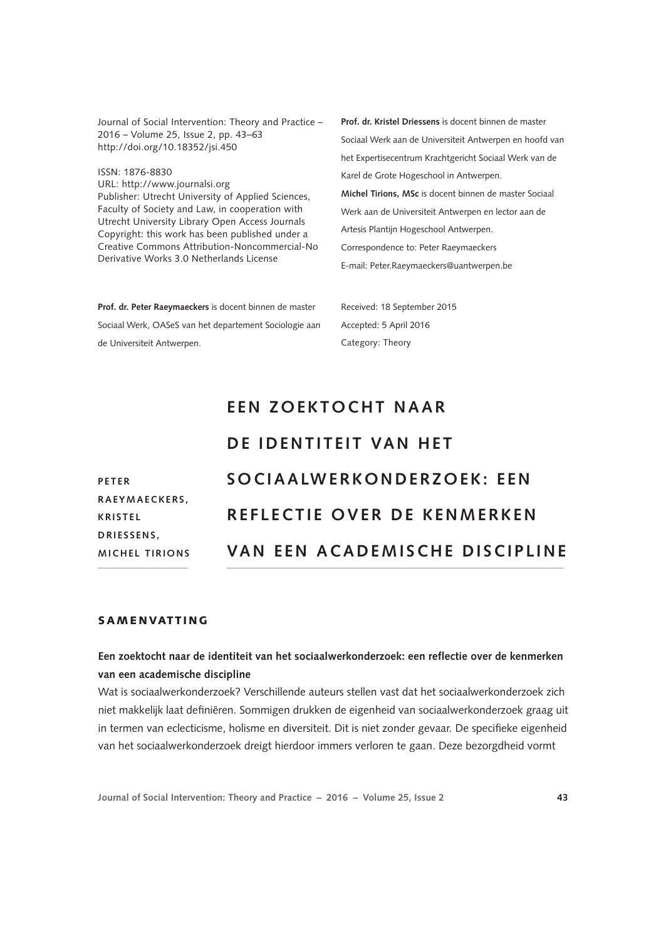Journal of Social Intervention: Theory and Practice – 2016 – Volume 25, Issue 2, pp. 43–63 [http://doi.org/10.18352/jsi.45](http://doi.org/10.18352/jsi.450)0

ISSN: 1876-8830 URL:<http://www.journalsi.org> Publisher: Utrecht University of Applied Sciences, Faculty of Society and Law, in cooperation with Utrecht University Library Open Access Journals Copyright: this work has been published under a Creative Commons Attribution-Noncommercial-No Derivative Works 3.0 Netherlands License

**Prof. dr. Peter Raeymaeckers** is docent binnen de master Sociaal Werk, OASeS van het departement Sociologie aan de Universiteit Antwerpen.

**Prof. dr. Kristel Driessens** is docent binnen de master Sociaal Werk aan de Universiteit Antwerpen en hoofd van het Expertisecentrum Krachtgericht Sociaal Werk van de Karel de Grote Hogeschool in Antwerpen. **Michel Tirions, MSc** is docent binnen de master Sociaal Werk aan de Universiteit Antwerpen en lector aan de Artesis Plantijn Hogeschool Antwerpen. Correspondence to: Peter Raeymaeckers E-mail: Peter.Raeymaeckers@uantwerpen.be

Received: 18 September 2015 Accepted: 5 April 2016 Category: Theory

# **EEN Z OEKT OCHT NAAR**

## **DE IDENTITEIT VAN HET**

| <b>PETER</b>          | SOCIAALWERKONDERZOEK: EEN             |
|-----------------------|---------------------------------------|
| RAEYMAECKERS,         |                                       |
| <b>KRISTEL</b>        | REFLECTIE OVER DE KENMERKEN           |
| DRIESSENS.            |                                       |
| <b>MICHEL TIRIONS</b> | <b>VAN EEN ACADEMISCHE DISCIPLINE</b> |
|                       |                                       |

## **SAMENVATTING**

## **Een zoektocht naar de identiteit van het sociaalwerkonderzoek: een reflectie over de kenmerken van een academische discipline**

Wat is sociaalwerkonderzoek? Verschillende auteurs stellen vast dat het sociaalwerkonderzoek zich niet makkelijk laat definiëren. Sommigen drukken de eigenheid van sociaalwerkonderzoek graag uit in termen van eclecticisme, holisme en diversiteit. Dit is niet zonder gevaar. De specifieke eigenheid van het sociaalwerkonderzoek dreigt hierdoor immers verloren te gaan. Deze bezorgdheid vormt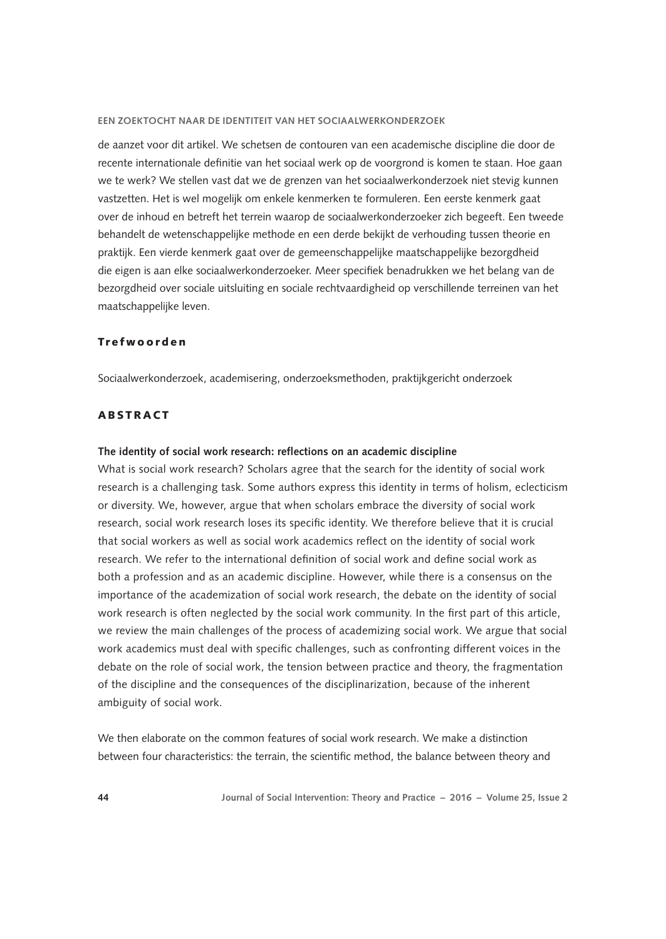de aanzet voor dit artikel. We schetsen de contouren van een academische discipline die door de recente internationale definitie van het sociaal werk op de voorgrond is komen te staan. Hoe gaan we te werk? We stellen vast dat we de grenzen van het sociaalwerkonderzoek niet stevig kunnen vastzetten. Het is wel mogelijk om enkele kenmerken te formuleren. Een eerste kenmerk gaat over de inhoud en betreft het terrein waarop de sociaalwerkonderzoeker zich begeeft. Een tweede behandelt de wetenschappelijke methode en een derde bekijkt de verhouding tussen theorie en praktijk. Een vierde kenmerk gaat over de gemeenschappelijke maatschappelijke bezorgdheid die eigen is aan elke sociaalwerkonderzoeker. Meer specifiek benadrukken we het belang van de bezorgdheid over sociale uitsluiting en sociale rechtvaardigheid op verschillende terreinen van het maatschappelijke leven.

#### Trefwoorden

Sociaalwerkonderzoek, academisering, onderzoeksmethoden, praktijkgericht onderzoek

## **ARSTRACT**

#### **The identity of social work research: reflections on an academic discipline**

What is social work research? Scholars agree that the search for the identity of social work research is a challenging task. Some authors express this identity in terms of holism, eclecticism or diversity. We, however, argue that when scholars embrace the diversity of social work research, social work research loses its specific identity. We therefore believe that it is crucial that social workers as well as social work academics reflect on the identity of social work research. We refer to the international definition of social work and define social work as both a profession and as an academic discipline. However, while there is a consensus on the importance of the academization of social work research, the debate on the identity of social work research is often neglected by the social work community. In the first part of this article, we review the main challenges of the process of academizing social work. We argue that social work academics must deal with specific challenges, such as confronting different voices in the debate on the role of social work, the tension between practice and theory, the fragmentation of the discipline and the consequences of the disciplinarization, because of the inherent ambiguity of social work.

We then elaborate on the common features of social work research. We make a distinction between four characteristics: the terrain, the scientific method, the balance between theory and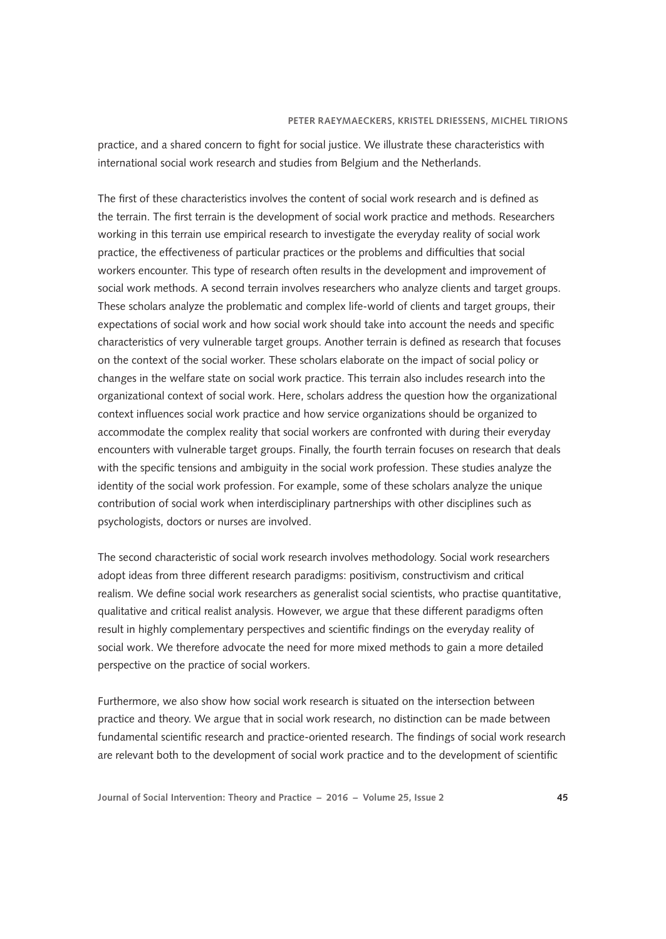practice, and a shared concern to fight for social justice. We illustrate these characteristics with international social work research and studies from Belgium and the Netherlands.

The first of these characteristics involves the content of social work research and is defined as the terrain. The first terrain is the development of social work practice and methods. Researchers working in this terrain use empirical research to investigate the everyday reality of social work practice, the effectiveness of particular practices or the problems and difficulties that social workers encounter. This type of research often results in the development and improvement of social work methods. A second terrain involves researchers who analyze clients and target groups. These scholars analyze the problematic and complex life-world of clients and target groups, their expectations of social work and how social work should take into account the needs and specific characteristics of very vulnerable target groups. Another terrain is defined as research that focuses on the context of the social worker. These scholars elaborate on the impact of social policy or changes in the welfare state on social work practice. This terrain also includes research into the organizational context of social work. Here, scholars address the question how the organizational context influences social work practice and how service organizations should be organized to accommodate the complex reality that social workers are confronted with during their everyday encounters with vulnerable target groups. Finally, the fourth terrain focuses on research that deals with the specific tensions and ambiguity in the social work profession. These studies analyze the identity of the social work profession. For example, some of these scholars analyze the unique contribution of social work when interdisciplinary partnerships with other disciplines such as psychologists, doctors or nurses are involved.

The second characteristic of social work research involves methodology. Social work researchers adopt ideas from three different research paradigms: positivism, constructivism and critical realism. We define social work researchers as generalist social scientists, who practise quantitative, qualitative and critical realist analysis. However, we argue that these different paradigms often result in highly complementary perspectives and scientific findings on the everyday reality of social work. We therefore advocate the need for more mixed methods to gain a more detailed perspective on the practice of social workers.

Furthermore, we also show how social work research is situated on the intersection between practice and theory. We argue that in social work research, no distinction can be made between fundamental scientific research and practice-oriented research. The findings of social work research are relevant both to the development of social work practice and to the development of scientific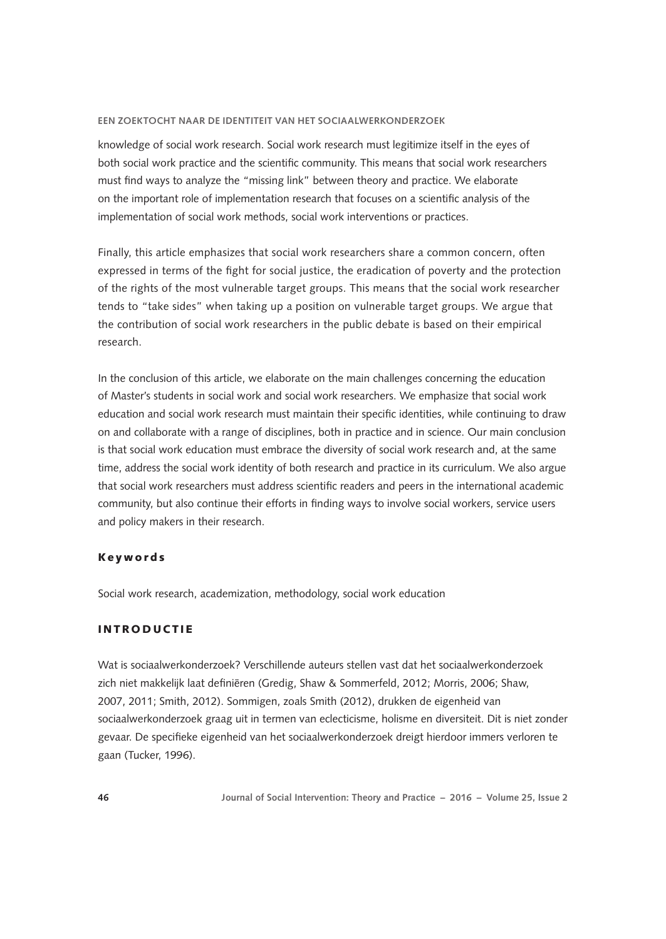knowledge of social work research. Social work research must legitimize itself in the eyes of both social work practice and the scientific community. This means that social work researchers must find ways to analyze the "missing link" between theory and practice. We elaborate on the important role of implementation research that focuses on a scientific analysis of the implementation of social work methods, social work interventions or practices.

Finally, this article emphasizes that social work researchers share a common concern, often expressed in terms of the fight for social justice, the eradication of poverty and the protection of the rights of the most vulnerable target groups. This means that the social work researcher tends to "take sides" when taking up a position on vulnerable target groups. We argue that the contribution of social work researchers in the public debate is based on their empirical research.

In the conclusion of this article, we elaborate on the main challenges concerning the education of Master's students in social work and social work researchers. We emphasize that social work education and social work research must maintain their specific identities, while continuing to draw on and collaborate with a range of disciplines, both in practice and in science. Our main conclusion is that social work education must embrace the diversity of social work research and, at the same time, address the social work identity of both research and practice in its curriculum. We also argue that social work researchers must address scientific readers and peers in the international academic community, but also continue their efforts in finding ways to involve social workers, service users and policy makers in their research.

### Keywords

Social work research, academization, methodology, social work education

## **INTRODUCTIE**

Wat is sociaalwerkonderzoek? Verschillende auteurs stellen vast dat het sociaalwerkonderzoek zich niet makkelijk laat definiëren (Gredig, Shaw & Sommerfeld, 2012; Morris, 2006; Shaw, 2007, 2011; Smith, 2012). Sommigen, zoals Smith (2012), drukken de eigenheid van sociaalwerkonderzoek graag uit in termen van eclecticisme, holisme en diversiteit. Dit is niet zonder gevaar. De specifieke eigenheid van het sociaalwerkonderzoek dreigt hierdoor immers verloren te gaan (Tucker, 1996).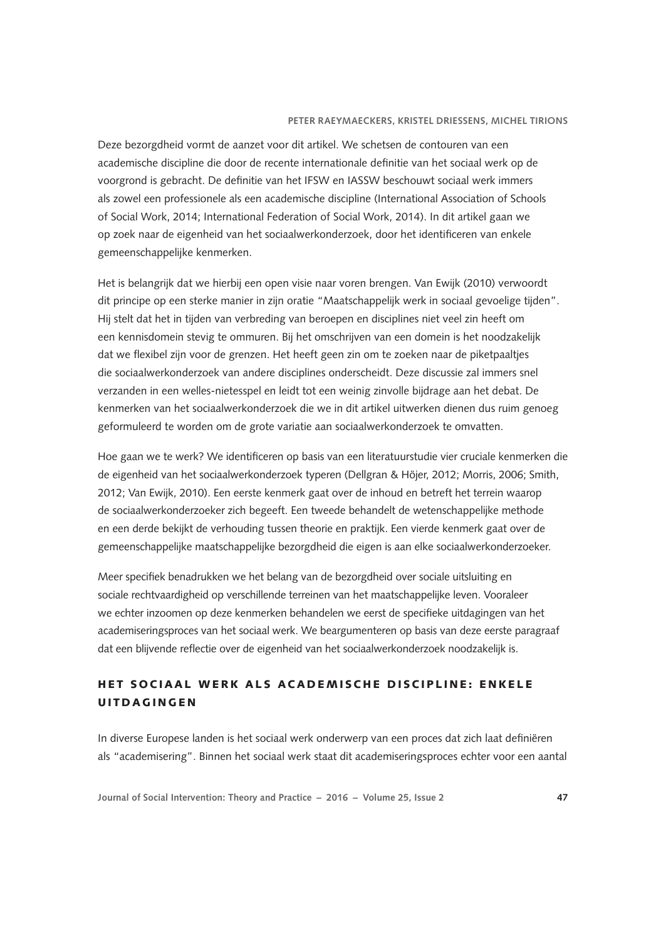Deze bezorgdheid vormt de aanzet voor dit artikel. We schetsen de contouren van een academische discipline die door de recente internationale definitie van het sociaal werk op de voorgrond is gebracht. De definitie van het IFSW en IASSW beschouwt sociaal werk immers als zowel een professionele als een academische discipline (International Association of Schools of Social Work, 2014; International Federation of Social Work, 2014). In dit artikel gaan we op zoek naar de eigenheid van het sociaalwerkonderzoek, door het identificeren van enkele gemeenschappelijke kenmerken.

Het is belangrijk dat we hierbij een open visie naar voren brengen. Van Ewijk (2010) verwoordt dit principe op een sterke manier in zijn oratie "Maatschappelijk werk in sociaal gevoelige tijden". Hij stelt dat het in tijden van verbreding van beroepen en disciplines niet veel zin heeft om een kennisdomein stevig te ommuren. Bij het omschrijven van een domein is het noodzakelijk dat we flexibel zijn voor de grenzen. Het heeft geen zin om te zoeken naar de piketpaaltjes die sociaalwerkonderzoek van andere disciplines onderscheidt. Deze discussie zal immers snel verzanden in een welles-nietesspel en leidt tot een weinig zinvolle bijdrage aan het debat. De kenmerken van het sociaalwerkonderzoek die we in dit artikel uitwerken dienen dus ruim genoeg geformuleerd te worden om de grote variatie aan sociaalwerkonderzoek te omvatten.

Hoe gaan we te werk? We identificeren op basis van een literatuurstudie vier cruciale kenmerken die de eigenheid van het sociaalwerkonderzoek typeren (Dellgran & Höjer, 2012; Morris, 2006; Smith, 2012; Van Ewijk, 2010). Een eerste kenmerk gaat over de inhoud en betreft het terrein waarop de sociaalwerkonderzoeker zich begeeft. Een tweede behandelt de wetenschappelijke methode en een derde bekijkt de verhouding tussen theorie en praktijk. Een vierde kenmerk gaat over de gemeenschappelijke maatschappelijke bezorgdheid die eigen is aan elke sociaalwerkonderzoeker.

Meer specifiek benadrukken we het belang van de bezorgdheid over sociale uitsluiting en sociale rechtvaardigheid op verschillende terreinen van het maatschappelijke leven. Vooraleer we echter inzoomen op deze kenmerken behandelen we eerst de specifieke uitdagingen van het academiseringsproces van het sociaal werk. We beargumenteren op basis van deze eerste paragraaf dat een blijvende reflectie over de eigenheid van het sociaalwerkonderzoek noodzakelijk is.

## HET SOCIAAL WERK ALS ACADEMISCHE DISCIPLINE: ENKELE **UITDAGINGEN**

In diverse Europese landen is het sociaal werk onderwerp van een proces dat zich laat definiëren als "academisering". Binnen het sociaal werk staat dit academiseringsproces echter voor een aantal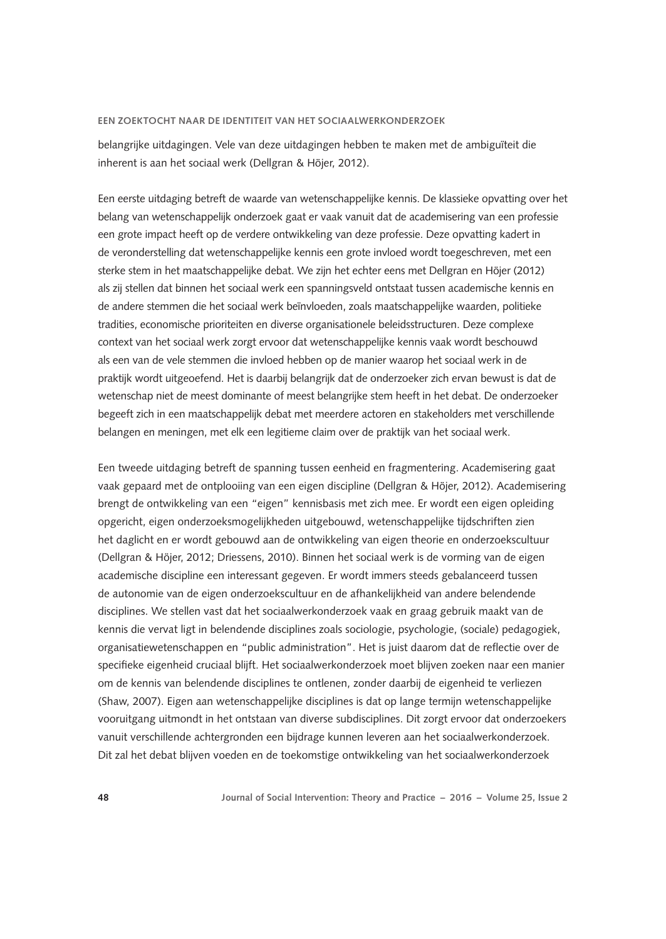belangrijke uitdagingen. Vele van deze uitdagingen hebben te maken met de ambiguïteit die inherent is aan het sociaal werk (Dellgran & Höjer, 2012).

Een eerste uitdaging betreft de waarde van wetenschappelijke kennis. De klassieke opvatting over het belang van wetenschappelijk onderzoek gaat er vaak vanuit dat de academisering van een professie een grote impact heeft op de verdere ontwikkeling van deze professie. Deze opvatting kadert in de veronderstelling dat wetenschappelijke kennis een grote invloed wordt toegeschreven, met een sterke stem in het maatschappelijke debat. We zijn het echter eens met Dellgran en Höjer (2012) als zij stellen dat binnen het sociaal werk een spanningsveld ontstaat tussen academische kennis en de andere stemmen die het sociaal werk beïnvloeden, zoals maatschappelijke waarden, politieke tradities, economische prioriteiten en diverse organisationele beleidsstructuren. Deze complexe context van het sociaal werk zorgt ervoor dat wetenschappelijke kennis vaak wordt beschouwd als een van de vele stemmen die invloed hebben op de manier waarop het sociaal werk in de praktijk wordt uitgeoefend. Het is daarbij belangrijk dat de onderzoeker zich ervan bewust is dat de wetenschap niet de meest dominante of meest belangrijke stem heeft in het debat. De onderzoeker begeeft zich in een maatschappelijk debat met meerdere actoren en stakeholders met verschillende belangen en meningen, met elk een legitieme claim over de praktijk van het sociaal werk.

Een tweede uitdaging betreft de spanning tussen eenheid en fragmentering. Academisering gaat vaak gepaard met de ontplooiing van een eigen discipline (Dellgran & Höjer, 2012). Academisering brengt de ontwikkeling van een "eigen" kennisbasis met zich mee. Er wordt een eigen opleiding opgericht, eigen onderzoeksmogelijkheden uitgebouwd, wetenschappelijke tijdschriften zien het daglicht en er wordt gebouwd aan de ontwikkeling van eigen theorie en onderzoekscultuur (Dellgran & Höjer, 2012; Driessens, 2010). Binnen het sociaal werk is de vorming van de eigen academische discipline een interessant gegeven. Er wordt immers steeds gebalanceerd tussen de autonomie van de eigen onderzoekscultuur en de afhankelijkheid van andere belendende disciplines. We stellen vast dat het sociaalwerkonderzoek vaak en graag gebruik maakt van de kennis die vervat ligt in belendende disciplines zoals sociologie, psychologie, (sociale) pedagogiek, organisatiewetenschappen en "public administration". Het is juist daarom dat de reflectie over de specifieke eigenheid cruciaal blijft. Het sociaalwerkonderzoek moet blijven zoeken naar een manier om de kennis van belendende disciplines te ontlenen, zonder daarbij de eigenheid te verliezen (Shaw, 2007). Eigen aan wetenschappelijke disciplines is dat op lange termijn wetenschappelijke vooruitgang uitmondt in het ontstaan van diverse subdisciplines. Dit zorgt ervoor dat onderzoekers vanuit verschillende achtergronden een bijdrage kunnen leveren aan het sociaalwerkonderzoek. Dit zal het debat blijven voeden en de toekomstige ontwikkeling van het sociaalwerkonderzoek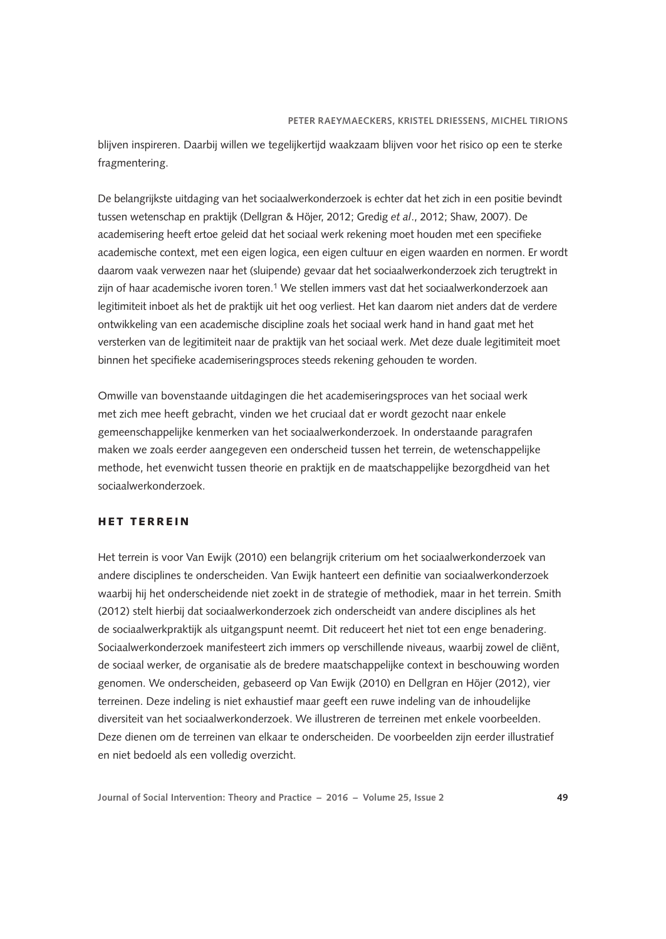blijven inspireren. Daarbij willen we tegelijkertijd waakzaam blijven voor het risico op een te sterke fragmentering.

De belangrijkste uitdaging van het sociaalwerkonderzoek is echter dat het zich in een positie bevindt tussen wetenschap en praktijk (Dellgran & Höjer, 2012; Gredig *et al*., 2012; Shaw, 2007). De academisering heeft ertoe geleid dat het sociaal werk rekening moet houden met een specifieke academische context, met een eigen logica, een eigen cultuur en eigen waarden en normen. Er wordt daarom vaak verwezen naar het (sluipende) gevaar dat het sociaalwerkonderzoek zich terugtrekt in zijn of haar academische ivoren toren.<sup>1</sup> We stellen immers vast dat het sociaalwerkonderzoek aan legitimiteit inboet als het de praktijk uit het oog verliest. Het kan daarom niet anders dat de verdere ontwikkeling van een academische discipline zoals het sociaal werk hand in hand gaat met het versterken van de legitimiteit naar de praktijk van het sociaal werk. Met deze duale legitimiteit moet binnen het specifieke academiseringsproces steeds rekening gehouden te worden.

Omwille van bovenstaande uitdagingen die het academiseringsproces van het sociaal werk met zich mee heeft gebracht, vinden we het cruciaal dat er wordt gezocht naar enkele gemeenschappelijke kenmerken van het sociaalwerkonderzoek. In onderstaande paragrafen maken we zoals eerder aangegeven een onderscheid tussen het terrein, de wetenschappelijke methode, het evenwicht tussen theorie en praktijk en de maatschappelijke bezorgdheid van het sociaalwerkonderzoek.

## H ET TERREIN

Het terrein is voor Van Ewijk (2010) een belangrijk criterium om het sociaalwerkonderzoek van andere disciplines te onderscheiden. Van Ewijk hanteert een definitie van sociaalwerkonderzoek waarbij hij het onderscheidende niet zoekt in de strategie of methodiek, maar in het terrein. Smith (2012) stelt hierbij dat sociaalwerkonderzoek zich onderscheidt van andere disciplines als het de sociaalwerkpraktijk als uitgangspunt neemt. Dit reduceert het niet tot een enge benadering. Sociaalwerkonderzoek manifesteert zich immers op verschillende niveaus, waarbij zowel de cliënt, de sociaal werker, de organisatie als de bredere maatschappelijke context in beschouwing worden genomen. We onderscheiden, gebaseerd op Van Ewijk (2010) en Dellgran en Höjer (2012), vier terreinen. Deze indeling is niet exhaustief maar geeft een ruwe indeling van de inhoudelijke diversiteit van het sociaalwerkonderzoek. We illustreren de terreinen met enkele voorbeelden. Deze dienen om de terreinen van elkaar te onderscheiden. De voorbeelden zijn eerder illustratief en niet bedoeld als een volledig overzicht.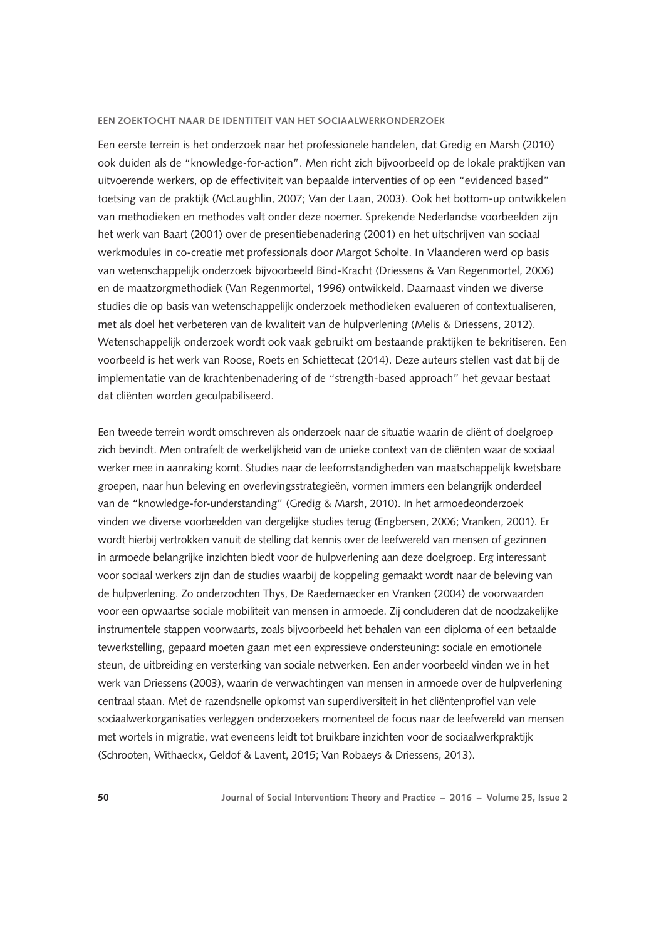Een eerste terrein is het onderzoek naar het professionele handelen, dat Gredig en Marsh (2010) ook duiden als de "knowledge-for-action". Men richt zich bijvoorbeeld op de lokale praktijken van uitvoerende werkers, op de effectiviteit van bepaalde interventies of op een "evidenced based" toetsing van de praktijk (McLaughlin, 2007; Van der Laan, 2003). Ook het bottom-up ontwikkelen van methodieken en methodes valt onder deze noemer. Sprekende Nederlandse voorbeelden zijn het werk van Baart (2001) over de presentiebenadering (2001) en het uitschrijven van sociaal werkmodules in co-creatie met professionals door Margot Scholte. In Vlaanderen werd op basis van wetenschappelijk onderzoek bijvoorbeeld Bind-Kracht (Driessens & Van Regenmortel, 2006) en de maatzorgmethodiek (Van Regenmortel, 1996) ontwikkeld. Daarnaast vinden we diverse studies die op basis van wetenschappelijk onderzoek methodieken evalueren of contextualiseren, met als doel het verbeteren van de kwaliteit van de hulpverlening (Melis & Driessens, 2012). Wetenschappelijk onderzoek wordt ook vaak gebruikt om bestaande praktijken te bekritiseren. Een voorbeeld is het werk van Roose, Roets en Schiettecat (2014). Deze auteurs stellen vast dat bij de implementatie van de krachtenbenadering of de "strength-based approach" het gevaar bestaat dat cliënten worden geculpabiliseerd.

Een tweede terrein wordt omschreven als onderzoek naar de situatie waarin de cliënt of doelgroep zich bevindt. Men ontrafelt de werkelijkheid van de unieke context van de cliënten waar de sociaal werker mee in aanraking komt. Studies naar de leefomstandigheden van maatschappelijk kwetsbare groepen, naar hun beleving en overlevingsstrategieën, vormen immers een belangrijk onderdeel van de "knowledge-for-understanding" (Gredig & Marsh, 2010). In het armoedeonderzoek vinden we diverse voorbeelden van dergelijke studies terug (Engbersen, 2006; Vranken, 2001). Er wordt hierbij vertrokken vanuit de stelling dat kennis over de leefwereld van mensen of gezinnen in armoede belangrijke inzichten biedt voor de hulpverlening aan deze doelgroep. Erg interessant voor sociaal werkers zijn dan de studies waarbij de koppeling gemaakt wordt naar de beleving van de hulpverlening. Zo onderzochten Thys, De Raedemaecker en Vranken (2004) de voorwaarden voor een opwaartse sociale mobiliteit van mensen in armoede. Zij concluderen dat de noodzakelijke instrumentele stappen voorwaarts, zoals bijvoorbeeld het behalen van een diploma of een betaalde tewerkstelling, gepaard moeten gaan met een expressieve ondersteuning: sociale en emotionele steun, de uitbreiding en versterking van sociale netwerken. Een ander voorbeeld vinden we in het werk van Driessens (2003), waarin de verwachtingen van mensen in armoede over de hulpverlening centraal staan. Met de razendsnelle opkomst van superdiversiteit in het cliëntenprofiel van vele sociaalwerkorganisaties verleggen onderzoekers momenteel de focus naar de leefwereld van mensen met wortels in migratie, wat eveneens leidt tot bruikbare inzichten voor de sociaalwerkpraktijk (Schrooten, Withaeckx, Geldof & Lavent, 2015; Van Robaeys & Driessens, 2013).

**50 Journal of Social Intervention: Theory and Practice – 2016 – Volume 25, Issue 2**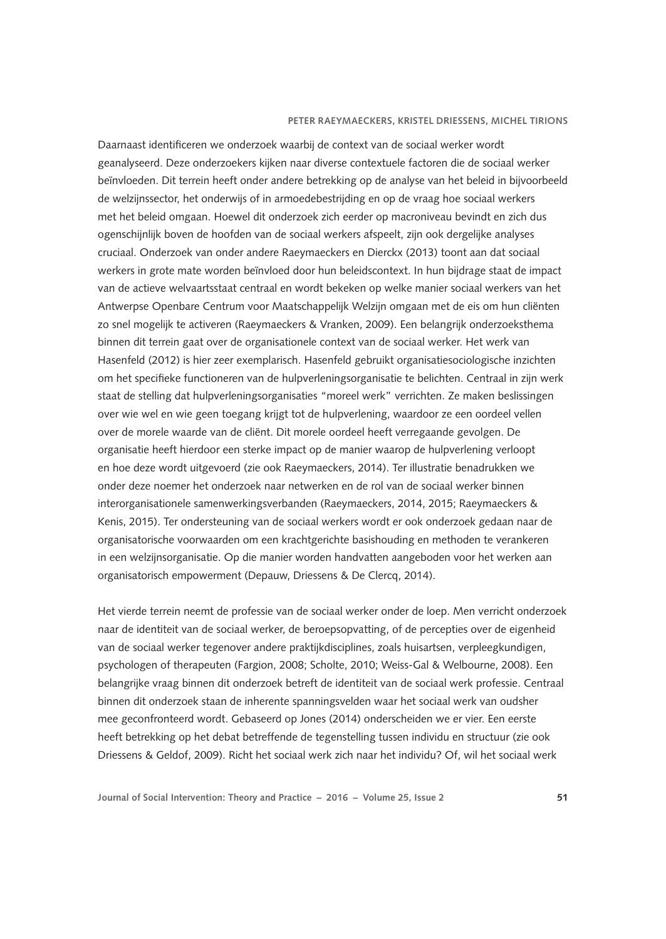Daarnaast identificeren we onderzoek waarbij de context van de sociaal werker wordt geanalyseerd. Deze onderzoekers kijken naar diverse contextuele factoren die de sociaal werker beïnvloeden. Dit terrein heeft onder andere betrekking op de analyse van het beleid in bijvoorbeeld de welzijnssector, het onderwijs of in armoedebestrijding en op de vraag hoe sociaal werkers met het beleid omgaan. Hoewel dit onderzoek zich eerder op macroniveau bevindt en zich dus ogenschijnlijk boven de hoofden van de sociaal werkers afspeelt, zijn ook dergelijke analyses cruciaal. Onderzoek van onder andere Raeymaeckers en Dierckx (2013) toont aan dat sociaal werkers in grote mate worden beïnvloed door hun beleidscontext. In hun bijdrage staat de impact van de actieve welvaartsstaat centraal en wordt bekeken op welke manier sociaal werkers van het Antwerpse Openbare Centrum voor Maatschappelijk Welzijn omgaan met de eis om hun cliënten zo snel mogelijk te activeren (Raeymaeckers & Vranken, 2009). Een belangrijk onderzoeksthema binnen dit terrein gaat over de organisationele context van de sociaal werker. Het werk van Hasenfeld (2012) is hier zeer exemplarisch. Hasenfeld gebruikt organisatiesociologische inzichten om het specifieke functioneren van de hulpverleningsorganisatie te belichten. Centraal in zijn werk staat de stelling dat hulpverleningsorganisaties "moreel werk" verrichten. Ze maken beslissingen over wie wel en wie geen toegang krijgt tot de hulpverlening, waardoor ze een oordeel vellen over de morele waarde van de cliënt. Dit morele oordeel heeft verregaande gevolgen. De organisatie heeft hierdoor een sterke impact op de manier waarop de hulpverlening verloopt en hoe deze wordt uitgevoerd (zie ook Raeymaeckers, 2014). Ter illustratie benadrukken we onder deze noemer het onderzoek naar netwerken en de rol van de sociaal werker binnen interorganisationele samenwerkingsverbanden (Raeymaeckers, 2014, 2015; Raeymaeckers & Kenis, 2015). Ter ondersteuning van de sociaal werkers wordt er ook onderzoek gedaan naar de organisatorische voorwaarden om een krachtgerichte basishouding en methoden te verankeren in een welzijnsorganisatie. Op die manier worden handvatten aangeboden voor het werken aan organisatorisch empowerment (Depauw, Driessens & De Clercq, 2014).

Het vierde terrein neemt de professie van de sociaal werker onder de loep. Men verricht onderzoek naar de identiteit van de sociaal werker, de beroepsopvatting, of de percepties over de eigenheid van de sociaal werker tegenover andere praktijkdisciplines, zoals huisartsen, verpleegkundigen, psychologen of therapeuten (Fargion, 2008; Scholte, 2010; Weiss-Gal & Welbourne, 2008). Een belangrijke vraag binnen dit onderzoek betreft de identiteit van de sociaal werk professie. Centraal binnen dit onderzoek staan de inherente spanningsvelden waar het sociaal werk van oudsher mee geconfronteerd wordt. Gebaseerd op Jones (2014) onderscheiden we er vier. Een eerste heeft betrekking op het debat betreffende de tegenstelling tussen individu en structuur (zie ook Driessens & Geldof, 2009). Richt het sociaal werk zich naar het individu? Of, wil het sociaal werk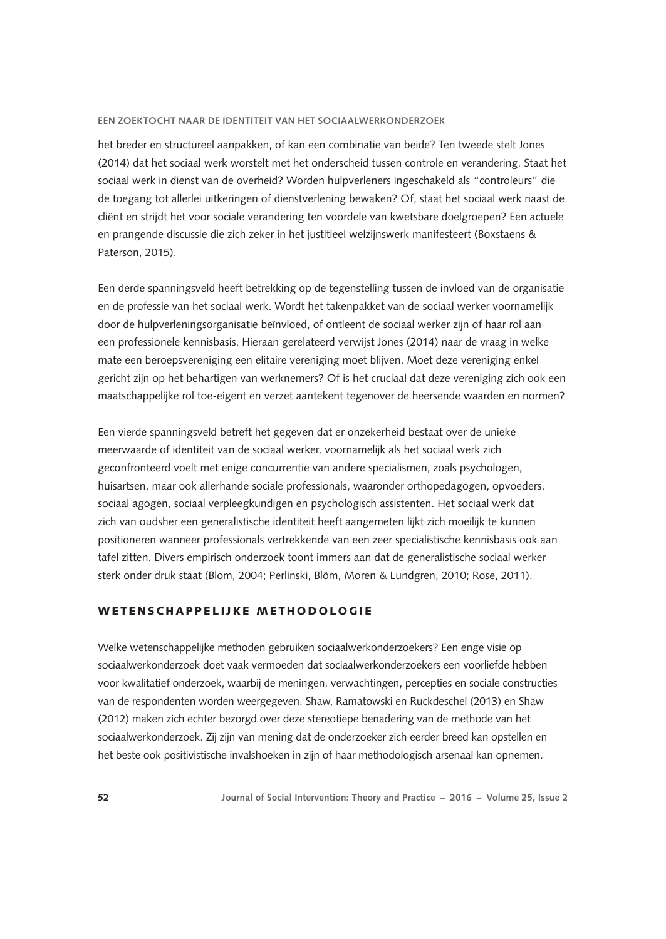het breder en structureel aanpakken, of kan een combinatie van beide? Ten tweede stelt Jones (2014) dat het sociaal werk worstelt met het onderscheid tussen controle en verandering. Staat het sociaal werk in dienst van de overheid? Worden hulpverleners ingeschakeld als "controleurs" die de toegang tot allerlei uitkeringen of dienstverlening bewaken? Of, staat het sociaal werk naast de cliënt en strijdt het voor sociale verandering ten voordele van kwetsbare doelgroepen? Een actuele en prangende discussie die zich zeker in het justitieel welzijnswerk manifesteert (Boxstaens & Paterson, 2015).

Een derde spanningsveld heeft betrekking op de tegenstelling tussen de invloed van de organisatie en de professie van het sociaal werk. Wordt het takenpakket van de sociaal werker voornamelijk door de hulpverleningsorganisatie beïnvloed, of ontleent de sociaal werker zijn of haar rol aan een professionele kennisbasis. Hieraan gerelateerd verwijst Jones (2014) naar de vraag in welke mate een beroepsvereniging een elitaire vereniging moet blijven. Moet deze vereniging enkel gericht zijn op het behartigen van werknemers? Of is het cruciaal dat deze vereniging zich ook een maatschappelijke rol toe-eigent en verzet aantekent tegenover de heersende waarden en normen?

Een vierde spanningsveld betreft het gegeven dat er onzekerheid bestaat over de unieke meerwaarde of identiteit van de sociaal werker, voornamelijk als het sociaal werk zich geconfronteerd voelt met enige concurrentie van andere specialismen, zoals psychologen, huisartsen, maar ook allerhande sociale professionals, waaronder orthopedagogen, opvoeders, sociaal agogen, sociaal verpleegkundigen en psychologisch assistenten. Het sociaal werk dat zich van oudsher een generalistische identiteit heeft aangemeten lijkt zich moeilijk te kunnen positioneren wanneer professionals vertrekkende van een zeer specialistische kennisbasis ook aan tafel zitten. Divers empirisch onderzoek toont immers aan dat de generalistische sociaal werker sterk onder druk staat (Blom, 2004; Perlinski, Blöm, Moren & Lundgren, 2010; Rose, 2011).

## WETENSCHAPPELIJKE METHODOLOGIE

Welke wetenschappelijke methoden gebruiken sociaalwerkonderzoekers? Een enge visie op sociaalwerkonderzoek doet vaak vermoeden dat sociaalwerkonderzoekers een voorliefde hebben voor kwalitatief onderzoek, waarbij de meningen, verwachtingen, percepties en sociale constructies van de respondenten worden weergegeven. Shaw, Ramatowski en Ruckdeschel (2013) en Shaw (2012) maken zich echter bezorgd over deze stereotiepe benadering van de methode van het sociaalwerkonderzoek. Zij zijn van mening dat de onderzoeker zich eerder breed kan opstellen en het beste ook positivistische invalshoeken in zijn of haar methodologisch arsenaal kan opnemen.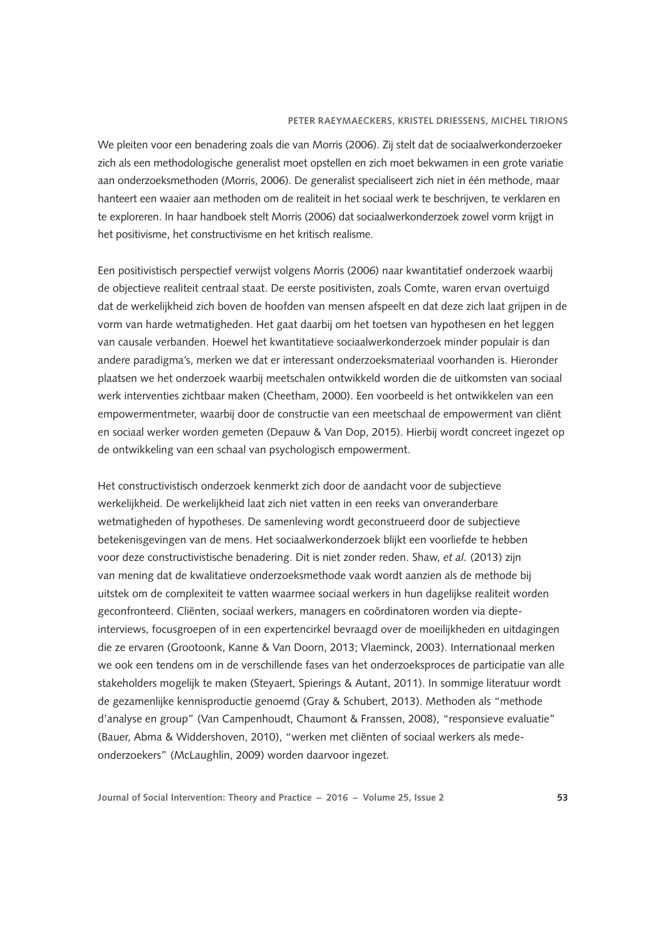We pleiten voor een benadering zoals die van Morris (2006). Zij stelt dat de sociaalwerkonderzoeker zich als een methodologische generalist moet opstellen en zich moet bekwamen in een grote variatie aan onderzoeksmethoden (Morris, 2006). De generalist specialiseert zich niet in één methode, maar hanteert een waaier aan methoden om de realiteit in het sociaal werk te beschrijven, te verklaren en te exploreren. In haar handboek stelt Morris (2006) dat sociaalwerkonderzoek zowel vorm krijgt in het positivisme, het constructivisme en het kritisch realisme.

Een positivistisch perspectief verwijst volgens Morris (2006) naar kwantitatief onderzoek waarbij de objectieve realiteit centraal staat. De eerste positivisten, zoals Comte, waren ervan overtuigd dat de werkelijkheid zich boven de hoofden van mensen afspeelt en dat deze zich laat grijpen in de vorm van harde wetmatigheden. Het gaat daarbij om het toetsen van hypothesen en het leggen van causale verbanden. Hoewel het kwantitatieve sociaalwerkonderzoek minder populair is dan andere paradigma's, merken we dat er interessant onderzoeksmateriaal voorhanden is. Hieronder plaatsen we het onderzoek waarbij meetschalen ontwikkeld worden die de uitkomsten van sociaal werk interventies zichtbaar maken (Cheetham, 2000). Een voorbeeld is het ontwikkelen van een empowermentmeter, waarbij door de constructie van een meetschaal de empowerment van cliënt en sociaal werker worden gemeten (Depauw & Van Dop, 2015). Hierbij wordt concreet ingezet op de ontwikkeling van een schaal van psychologisch empowerment.

Het constructivistisch onderzoek kenmerkt zich door de aandacht voor de subjectieve werkelijkheid. De werkelijkheid laat zich niet vatten in een reeks van onveranderbare wetmatigheden of hypotheses. De samenleving wordt geconstrueerd door de subjectieve betekenisgevingen van de mens. Het sociaalwerkonderzoek blijkt een voorliefde te hebben voor deze constructivistische benadering. Dit is niet zonder reden. Shaw, *et al.* (2013) zijn van mening dat de kwalitatieve onderzoeksmethode vaak wordt aanzien als de methode bij uitstek om de complexiteit te vatten waarmee sociaal werkers in hun dagelijkse realiteit worden geconfronteerd. Cliënten, sociaal werkers, managers en coördinatoren worden via diepteinterviews, focusgroepen of in een expertencirkel bevraagd over de moeilijkheden en uitdagingen die ze ervaren (Grootoonk, Kanne & Van Doorn, 2013; Vlaeminck, 2003). Internationaal merken we ook een tendens om in de verschillende fases van het onderzoeksproces de participatie van alle stakeholders mogelijk te maken (Steyaert, Spierings & Autant, 2011). In sommige literatuur wordt de gezamenlijke kennisproductie genoemd (Gray & Schubert, 2013). Methoden als "methode d'analyse en group" (Van Campenhoudt, Chaumont & Franssen, 2008), "responsieve evaluatie" (Bauer, Abma & Widdershoven, 2010), "werken met cliënten of sociaal werkers als medeonderzoekers" (McLaughlin, 2009) worden daarvoor ingezet.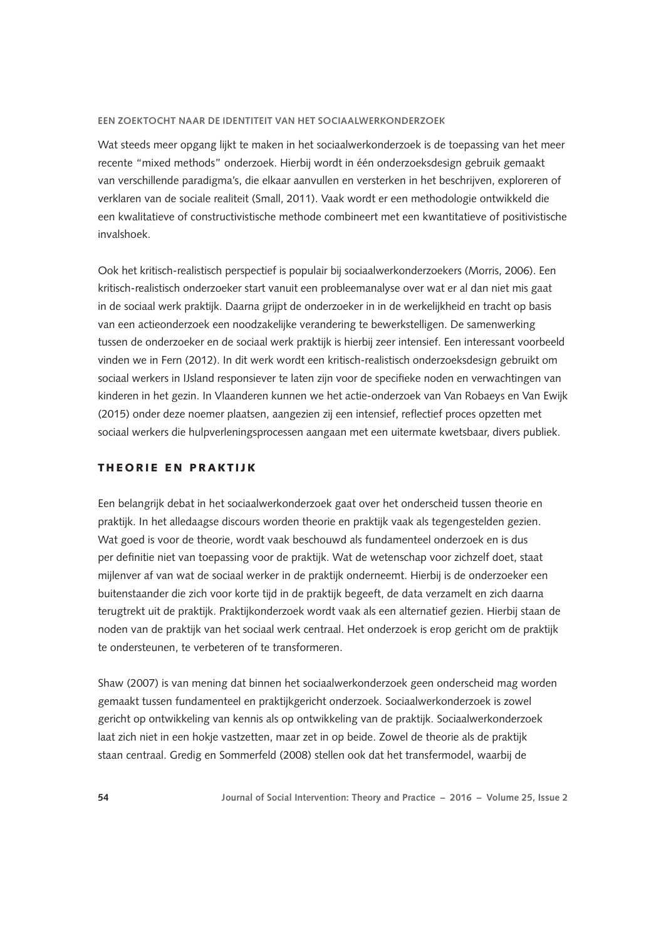Wat steeds meer opgang lijkt te maken in het sociaalwerkonderzoek is de toepassing van het meer recente "mixed methods" onderzoek. Hierbij wordt in één onderzoeksdesign gebruik gemaakt van verschillende paradigma's, die elkaar aanvullen en versterken in het beschrijven, exploreren of verklaren van de sociale realiteit (Small, 2011). Vaak wordt er een methodologie ontwikkeld die een kwalitatieve of constructivistische methode combineert met een kwantitatieve of positivistische invalshoek.

Ook het kritisch-realistisch perspectief is populair bij sociaalwerkonderzoekers (Morris, 2006). Een kritisch-realistisch onderzoeker start vanuit een probleemanalyse over wat er al dan niet mis gaat in de sociaal werk praktijk. Daarna grijpt de onderzoeker in in de werkelijkheid en tracht op basis van een actieonderzoek een noodzakelijke verandering te bewerkstelligen. De samenwerking tussen de onderzoeker en de sociaal werk praktijk is hierbij zeer intensief. Een interessant voorbeeld vinden we in Fern (2012). In dit werk wordt een kritisch-realistisch onderzoeksdesign gebruikt om sociaal werkers in IJsland responsiever te laten zijn voor de specifieke noden en verwachtingen van kinderen in het gezin. In Vlaanderen kunnen we het actie-onderzoek van Van Robaeys en Van Ewijk (2015) onder deze noemer plaatsen, aangezien zij een intensief, reflectief proces opzetten met sociaal werkers die hulpverleningsprocessen aangaan met een uitermate kwetsbaar, divers publiek.

## THEORIE EN PRAKTIJK

Een belangrijk debat in het sociaalwerkonderzoek gaat over het onderscheid tussen theorie en praktijk. In het alledaagse discours worden theorie en praktijk vaak als tegengestelden gezien. Wat goed is voor de theorie, wordt vaak beschouwd als fundamenteel onderzoek en is dus per definitie niet van toepassing voor de praktijk. Wat de wetenschap voor zichzelf doet, staat mijlenver af van wat de sociaal werker in de praktijk onderneemt. Hierbij is de onderzoeker een buitenstaander die zich voor korte tijd in de praktijk begeeft, de data verzamelt en zich daarna terugtrekt uit de praktijk. Praktijkonderzoek wordt vaak als een alternatief gezien. Hierbij staan de noden van de praktijk van het sociaal werk centraal. Het onderzoek is erop gericht om de praktijk te ondersteunen, te verbeteren of te transformeren.

Shaw (2007) is van mening dat binnen het sociaalwerkonderzoek geen onderscheid mag worden gemaakt tussen fundamenteel en praktijkgericht onderzoek. Sociaalwerkonderzoek is zowel gericht op ontwikkeling van kennis als op ontwikkeling van de praktijk. Sociaalwerkonderzoek laat zich niet in een hokje vastzetten, maar zet in op beide. Zowel de theorie als de praktijk staan centraal. Gredig en Sommerfeld (2008) stellen ook dat het transfermodel, waarbij de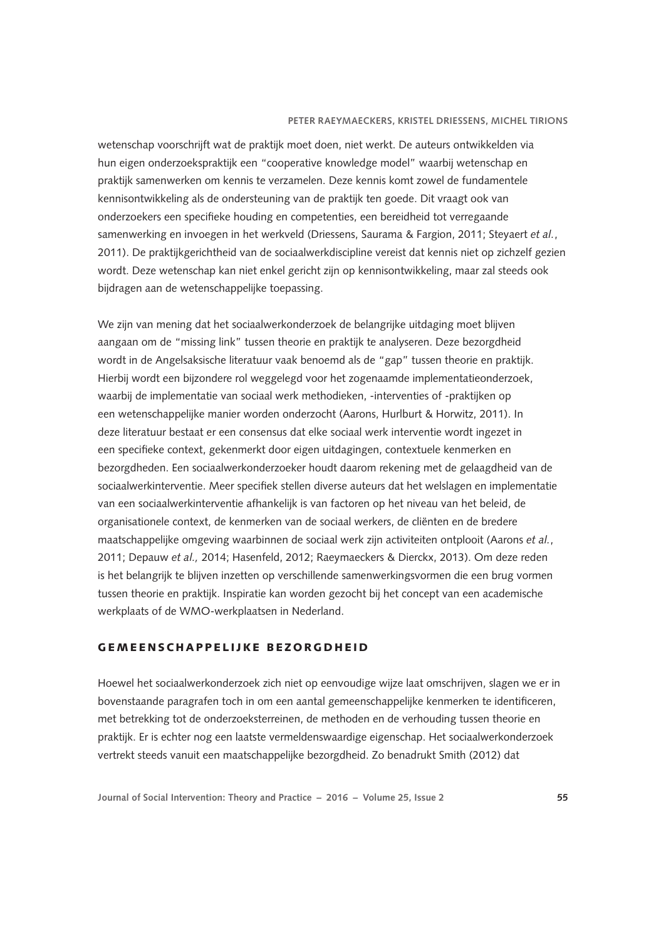wetenschap voorschrijft wat de praktijk moet doen, niet werkt. De auteurs ontwikkelden via hun eigen onderzoekspraktijk een "cooperative knowledge model" waarbij wetenschap en praktijk samenwerken om kennis te verzamelen. Deze kennis komt zowel de fundamentele kennisontwikkeling als de ondersteuning van de praktijk ten goede. Dit vraagt ook van onderzoekers een specifieke houding en competenties, een bereidheid tot verregaande samenwerking en invoegen in het werkveld (Driessens, Saurama & Fargion, 2011; Steyaert *et al.*, 2011). De praktijkgerichtheid van de sociaalwerkdiscipline vereist dat kennis niet op zichzelf gezien wordt. Deze wetenschap kan niet enkel gericht zijn op kennisontwikkeling, maar zal steeds ook bijdragen aan de wetenschappelijke toepassing.

We zijn van mening dat het sociaalwerkonderzoek de belangrijke uitdaging moet blijven aangaan om de "missing link" tussen theorie en praktijk te analyseren. Deze bezorgdheid wordt in de Angelsaksische literatuur vaak benoemd als de "gap" tussen theorie en praktijk. Hierbij wordt een bijzondere rol weggelegd voor het zogenaamde implementatieonderzoek, waarbij de implementatie van sociaal werk methodieken, -interventies of -praktijken op een wetenschappelijke manier worden onderzocht (Aarons, Hurlburt & Horwitz, 2011). In deze literatuur bestaat er een consensus dat elke sociaal werk interventie wordt ingezet in een specifieke context, gekenmerkt door eigen uitdagingen, contextuele kenmerken en bezorgdheden. Een sociaalwerkonderzoeker houdt daarom rekening met de gelaagdheid van de sociaalwerkinterventie. Meer specifiek stellen diverse auteurs dat het welslagen en implementatie van een sociaalwerkinterventie afhankelijk is van factoren op het niveau van het beleid, de organisationele context, de kenmerken van de sociaal werkers, de cliënten en de bredere maatschappelijke omgeving waarbinnen de sociaal werk zijn activiteiten ontplooit (Aarons *et al.*, 2011; Depauw *et al.,* 2014; Hasenfeld, 2012; Raeymaeckers & Dierckx, 2013). Om deze reden is het belangrijk te blijven inzetten op verschillende samenwerkingsvormen die een brug vormen tussen theorie en praktijk. Inspiratie kan worden gezocht bij het concept van een academische werkplaats of de WMO-werkplaatsen in Nederland.

## **GEMEENSCHAPPELIJKE BEZORGDHEID**

Hoewel het sociaalwerkonderzoek zich niet op eenvoudige wijze laat omschrijven, slagen we er in bovenstaande paragrafen toch in om een aantal gemeenschappelijke kenmerken te identificeren, met betrekking tot de onderzoeksterreinen, de methoden en de verhouding tussen theorie en praktijk. Er is echter nog een laatste vermeldenswaardige eigenschap. Het sociaalwerkonderzoek vertrekt steeds vanuit een maatschappelijke bezorgdheid. Zo benadrukt Smith (2012) dat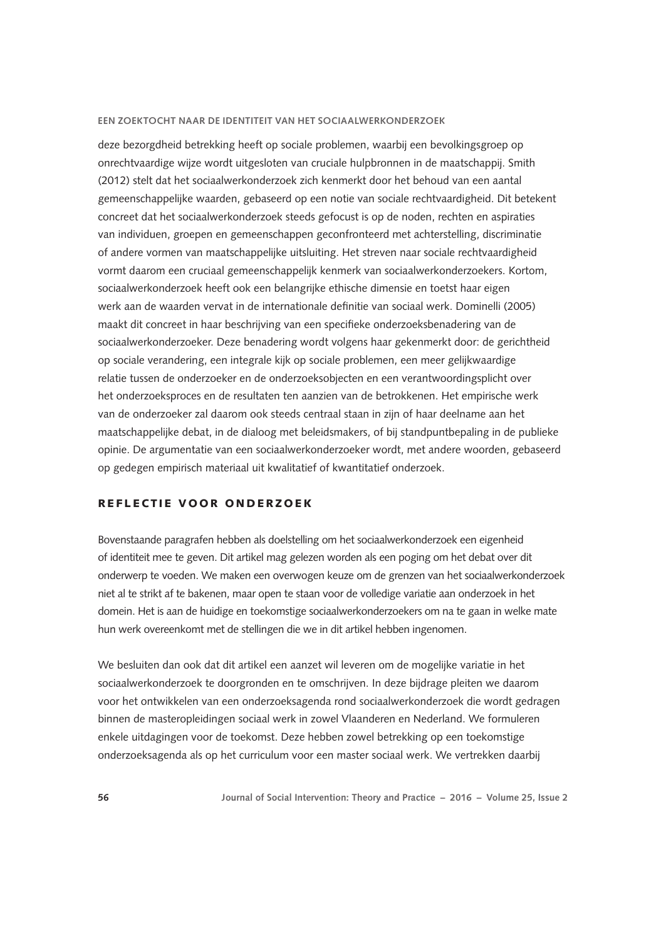deze bezorgdheid betrekking heeft op sociale problemen, waarbij een bevolkingsgroep op onrechtvaardige wijze wordt uitgesloten van cruciale hulpbronnen in de maatschappij. Smith (2012) stelt dat het sociaalwerkonderzoek zich kenmerkt door het behoud van een aantal gemeenschappelijke waarden, gebaseerd op een notie van sociale rechtvaardigheid. Dit betekent concreet dat het sociaalwerkonderzoek steeds gefocust is op de noden, rechten en aspiraties van individuen, groepen en gemeenschappen geconfronteerd met achterstelling, discriminatie of andere vormen van maatschappelijke uitsluiting. Het streven naar sociale rechtvaardigheid vormt daarom een cruciaal gemeenschappelijk kenmerk van sociaalwerkonderzoekers. Kortom, sociaalwerkonderzoek heeft ook een belangrijke ethische dimensie en toetst haar eigen werk aan de waarden vervat in de internationale definitie van sociaal werk. Dominelli (2005) maakt dit concreet in haar beschrijving van een specifieke onderzoeksbenadering van de sociaalwerkonderzoeker. Deze benadering wordt volgens haar gekenmerkt door: de gerichtheid op sociale verandering, een integrale kijk op sociale problemen, een meer gelijkwaardige relatie tussen de onderzoeker en de onderzoeksobjecten en een verantwoordingsplicht over het onderzoeksproces en de resultaten ten aanzien van de betrokkenen. Het empirische werk van de onderzoeker zal daarom ook steeds centraal staan in zijn of haar deelname aan het maatschappelijke debat, in de dialoog met beleidsmakers, of bij standpuntbepaling in de publieke opinie. De argumentatie van een sociaalwerkonderzoeker wordt, met andere woorden, gebaseerd op gedegen empirisch materiaal uit kwalitatief of kwantitatief onderzoek.

## REFLECTIE VOOR ONDERZOEK

Bovenstaande paragrafen hebben als doelstelling om het sociaalwerkonderzoek een eigenheid of identiteit mee te geven. Dit artikel mag gelezen worden als een poging om het debat over dit onderwerp te voeden. We maken een overwogen keuze om de grenzen van het sociaalwerkonderzoek niet al te strikt af te bakenen, maar open te staan voor de volledige variatie aan onderzoek in het domein. Het is aan de huidige en toekomstige sociaalwerkonderzoekers om na te gaan in welke mate hun werk overeenkomt met de stellingen die we in dit artikel hebben ingenomen.

We besluiten dan ook dat dit artikel een aanzet wil leveren om de mogelijke variatie in het sociaalwerkonderzoek te doorgronden en te omschrijven. In deze bijdrage pleiten we daarom voor het ontwikkelen van een onderzoeksagenda rond sociaalwerkonderzoek die wordt gedragen binnen de masteropleidingen sociaal werk in zowel Vlaanderen en Nederland. We formuleren enkele uitdagingen voor de toekomst. Deze hebben zowel betrekking op een toekomstige onderzoeksagenda als op het curriculum voor een master sociaal werk. We vertrekken daarbij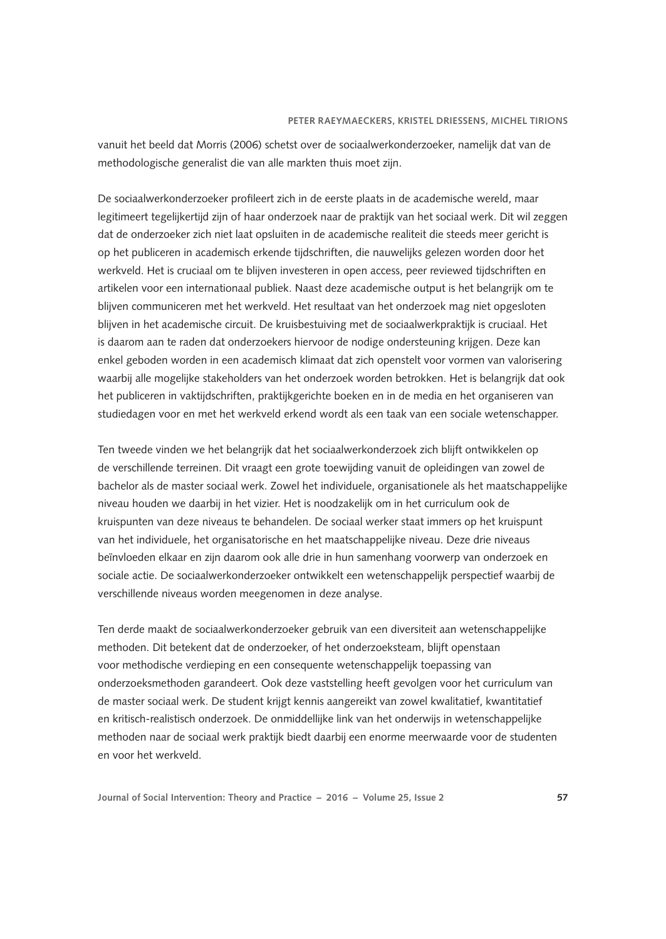vanuit het beeld dat Morris (2006) schetst over de sociaalwerkonderzoeker, namelijk dat van de methodologische generalist die van alle markten thuis moet zijn.

De sociaalwerkonderzoeker profileert zich in de eerste plaats in de academische wereld, maar legitimeert tegelijkertijd zijn of haar onderzoek naar de praktijk van het sociaal werk. Dit wil zeggen dat de onderzoeker zich niet laat opsluiten in de academische realiteit die steeds meer gericht is op het publiceren in academisch erkende tijdschriften, die nauwelijks gelezen worden door het werkveld. Het is cruciaal om te blijven investeren in open access, peer reviewed tijdschriften en artikelen voor een internationaal publiek. Naast deze academische output is het belangrijk om te blijven communiceren met het werkveld. Het resultaat van het onderzoek mag niet opgesloten blijven in het academische circuit. De kruisbestuiving met de sociaalwerkpraktijk is cruciaal. Het is daarom aan te raden dat onderzoekers hiervoor de nodige ondersteuning krijgen. Deze kan enkel geboden worden in een academisch klimaat dat zich openstelt voor vormen van valorisering waarbij alle mogelijke stakeholders van het onderzoek worden betrokken. Het is belangrijk dat ook het publiceren in vaktijdschriften, praktijkgerichte boeken en in de media en het organiseren van studiedagen voor en met het werkveld erkend wordt als een taak van een sociale wetenschapper.

Ten tweede vinden we het belangrijk dat het sociaalwerkonderzoek zich blijft ontwikkelen op de verschillende terreinen. Dit vraagt een grote toewijding vanuit de opleidingen van zowel de bachelor als de master sociaal werk. Zowel het individuele, organisationele als het maatschappelijke niveau houden we daarbij in het vizier. Het is noodzakelijk om in het curriculum ook de kruispunten van deze niveaus te behandelen. De sociaal werker staat immers op het kruispunt van het individuele, het organisatorische en het maatschappelijke niveau. Deze drie niveaus beïnvloeden elkaar en zijn daarom ook alle drie in hun samenhang voorwerp van onderzoek en sociale actie. De sociaalwerkonderzoeker ontwikkelt een wetenschappelijk perspectief waarbij de verschillende niveaus worden meegenomen in deze analyse.

Ten derde maakt de sociaalwerkonderzoeker gebruik van een diversiteit aan wetenschappelijke methoden. Dit betekent dat de onderzoeker, of het onderzoeksteam, blijft openstaan voor methodische verdieping en een consequente wetenschappelijk toepassing van onderzoeksmethoden garandeert. Ook deze vaststelling heeft gevolgen voor het curriculum van de master sociaal werk. De student krijgt kennis aangereikt van zowel kwalitatief, kwantitatief en kritisch-realistisch onderzoek. De onmiddellijke link van het onderwijs in wetenschappelijke methoden naar de sociaal werk praktijk biedt daarbij een enorme meerwaarde voor de studenten en voor het werkveld.

**Journal of Social Intervention: Theory and Practice – 2016 – Volume 25, Issue 2 57**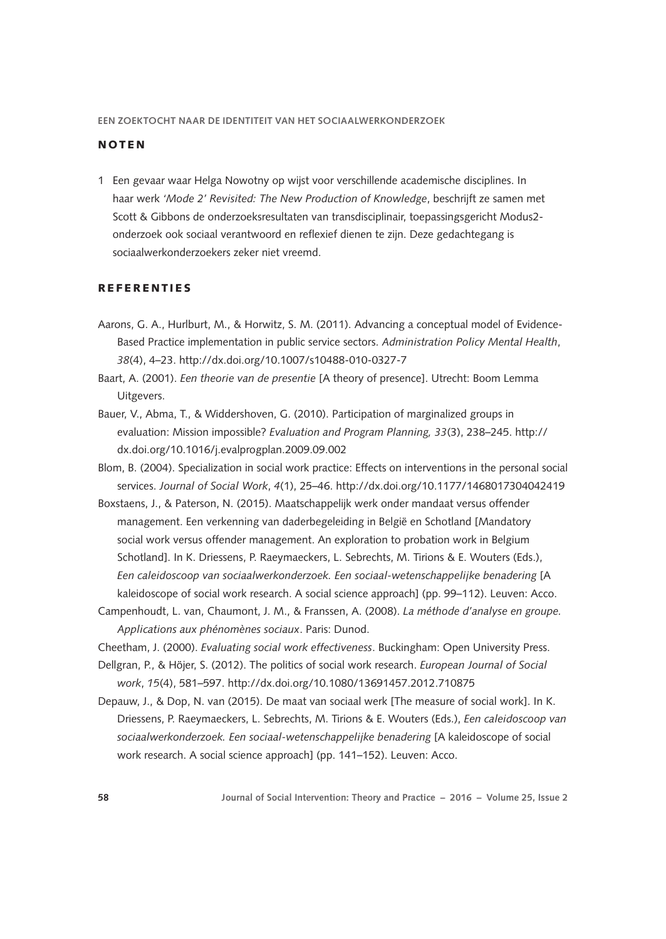## **NOTEN**

1 Een gevaar waar Helga Nowotny op wijst voor verschillende academische disciplines. In haar werk *'Mode 2' Revisited: The New Production of Knowledge*, beschrijft ze samen met Scott & Gibbons de onderzoeksresultaten van transdisciplinair, toepassingsgericht Modus2 onderzoek ook sociaal verantwoord en reflexief dienen te zijn. Deze gedachtegang is sociaalwerkonderzoekers zeker niet vreemd.

## **REFERENTIES**

- Aarons, G. A., Hurlburt, M., & Horwitz, S. M. (2011). Advancing a conceptual model of Evidence-Based Practice implementation in public service sectors. *Administration Policy Mental Health*, *38*(4), 4–23. <http://dx.doi.org/10.1007/s10488-010-0327-7>
- Baart, A. (2001). *Een theorie van de presentie* [A theory of presence]. Utrecht: Boom Lemma Uitgevers.
- Bauer, V., Abma, T., & Widdershoven, G. (2010). Participation of marginalized groups in evaluation: Mission impossible? *Evaluation and Program Planning, 33*(3), 238–245. [http://](http://dx.doi.org/10.1016/j.evalprogplan.2009.09.002) [dx.doi.org/10.1016/j.evalprogplan.2009.09.002](http://dx.doi.org/10.1016/j.evalprogplan.2009.09.002)
- Blom, B. (2004). Specialization in social work practice: Effects on interventions in the personal social services. *Journal of Social Work*, *4*(1), 25–46.<http://dx.doi.org/10.1177/1468017304042419>
- Boxstaens, J., & Paterson, N. (2015). Maatschappelijk werk onder mandaat versus offender management. Een verkenning van daderbegeleiding in België en Schotland [Mandatory social work versus offender management. An exploration to probation work in Belgium Schotland]. In K. Driessens, P. Raeymaeckers, L. Sebrechts, M. Tirions & E. Wouters (Eds.), *Een caleidoscoop van sociaalwerkonderzoek. Een sociaal-wetenschappelijke benadering* [A kaleidoscope of social work research. A social science approach] (pp. 99–112). Leuven: Acco.
- Campenhoudt, L. van, Chaumont, J. M., & Franssen, A. (2008). *La méthode d'analyse en groupe. Applications aux phénomènes sociaux*. Paris: Dunod.
- Cheetham, J. (2000). *Evaluating social work effectiveness*. Buckingham: Open University Press.
- Dellgran, P., & Höjer, S. (2012). The politics of social work research. *European Journal of Social work*, *15*(4), 581–597. <http://dx.doi.org/10.1080/13691457.2012.710875>
- Depauw, J., & Dop, N. van (2015). De maat van sociaal werk [The measure of social work]. In K. Driessens, P. Raeymaeckers, L. Sebrechts, M. Tirions & E. Wouters (Eds.), *Een caleidoscoop van sociaalwerkonderzoek. Een sociaal-wetenschappelijke benadering* [A kaleidoscope of social work research. A social science approach] (pp. 141–152). Leuven: Acco.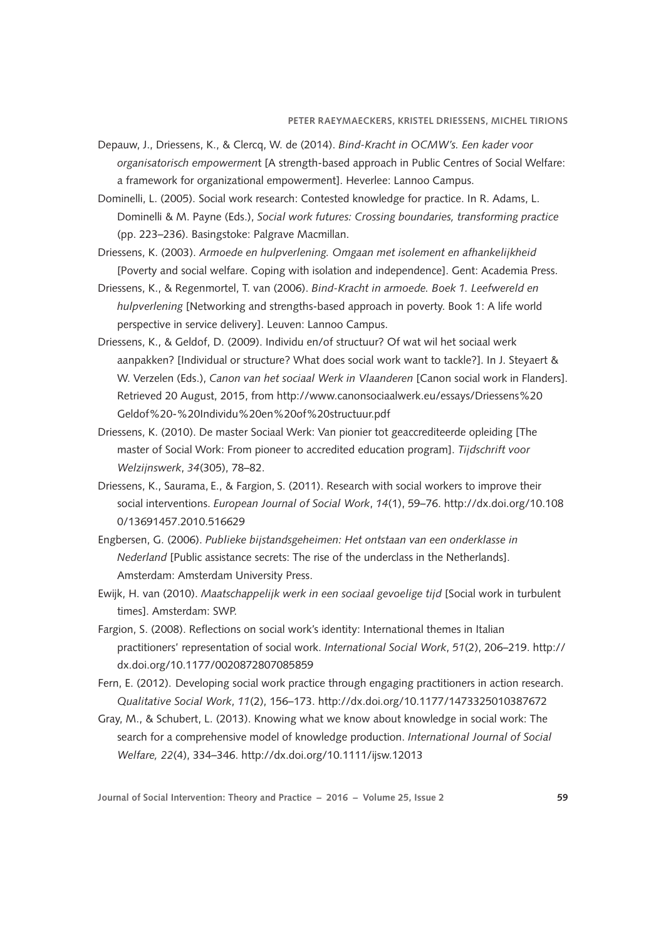- Depauw, J., Driessens, K., & Clercq, W. de (2014). *Bind-Kracht in OCMW's. Een kader voor organisatorisch empowermen*t [A strength-based approach in Public Centres of Social Welfare: a framework for organizational empowerment]. Heverlee: Lannoo Campus.
- Dominelli, L. (2005). Social work research: Contested knowledge for practice. In R. Adams, L. Dominelli & M. Payne (Eds.), *Social work futures: Crossing boundaries, transforming practice*  (pp. 223–236). Basingstoke: Palgrave Macmillan.
- Driessens, K. (2003). *Armoede en hulpverlening. Omgaan met isolement en afhankelijkheid*  [Poverty and social welfare. Coping with isolation and independence]. Gent: Academia Press.
- Driessens, K., & Regenmortel, T. van (2006). *Bind-Kracht in armoede. Boek 1. Leefwereld en hulpverlening* [Networking and strengths-based approach in poverty. Book 1: A life world perspective in service delivery]. Leuven: Lannoo Campus.
- Driessens, K., & Geldof, D. (2009). Individu en/of structuur? Of wat wil het sociaal werk aanpakken? [Individual or structure? What does social work want to tackle?]. In J. Steyaert & W. Verzelen (Eds.), *Canon van het sociaal Werk in Vlaanderen* [Canon social work in Flanders]. Retrieved 20 August, 2015, from [http://www.canonsociaalwerk.eu/essays/Driessens%20](http://www.canonsociaalwerk.eu/essays/Driessens Geldof - Individu en of structuur.pdf) [Geldof%20-%20Individu%20en%20of%20structuur.pdf](http://www.canonsociaalwerk.eu/essays/Driessens Geldof - Individu en of structuur.pdf)
- Driessens, K. (2010). De master Sociaal Werk: Van pionier tot geaccrediteerde opleiding [The master of Social Work: From pioneer to accredited education program]. *Tijdschrift voor Welzijnswerk*, *34*(305), 78–82.
- Driessens, K., Saurama, E., & Fargion, S. (2011). Research with social workers to improve their social interventions. *European Journal of Social Work*, *14*(1), 59–76. [http://dx.doi.org/10.108](http://dx.doi.org/10.1080/13691457.2010.516629) [0/13691457.2010.516629](http://dx.doi.org/10.1080/13691457.2010.516629)
- Engbersen, G. (2006). *Publieke bijstandsgeheimen: Het ontstaan van een onderklasse in Nederland* [Public assistance secrets: The rise of the underclass in the Netherlands]. Amsterdam: Amsterdam University Press.
- Ewijk, H. van (2010). *Maatschappelijk werk in een sociaal gevoelige tijd* [Social work in turbulent times]. Amsterdam: SWP.
- Fargion, S. (2008). Reflections on social work's identity: International themes in Italian practitioners' representation of social work. *International Social Work*, *51*(2), 206–219. [http://](http://dx.doi.org/10.1177/0020872807085859) [dx.doi.org/10.1177/0020872807085859](http://dx.doi.org/10.1177/0020872807085859)
- Fern, E. (2012). Developing social work practice through engaging practitioners in action research. *Qualitative Social Work*, *11*(2), 156–173.<http://dx.doi.org/10.1177/1473325010387672>
- Gray, M., & Schubert, L. (2013). Knowing what we know about knowledge in social work: The search for a comprehensive model of knowledge production. *International Journal of Social Welfare, 22*(4), 334–346. <http://dx.doi.org/10.1111/ijsw.12013>

**Journal of Social Intervention: Theory and Practice – 2016 – Volume 25, Issue 2 59**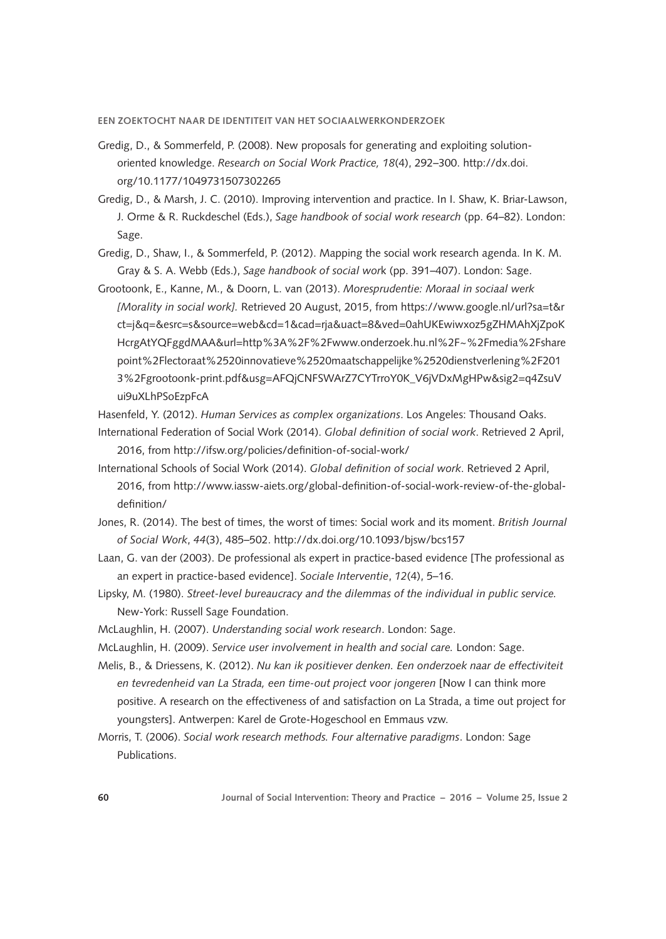- Gredig, D., & Sommerfeld, P. (2008). New proposals for generating and exploiting solutionoriented knowledge. *Research on Social Work Practice, 18*(4), 292–300. [http://dx.doi.](http://dx.doi.org/10.1177/1049731507302265) [org/10.1177/1049731507302265](http://dx.doi.org/10.1177/1049731507302265)
- Gredig, D., & Marsh, J. C. (2010). Improving intervention and practice. In I. Shaw, K. Briar-Lawson, J. Orme & R. Ruckdeschel (Eds.), *Sage handbook of social work research* (pp. 64–82). London: Sage.
- Gredig, D., Shaw, I., & Sommerfeld, P. (2012). Mapping the social work research agenda. In K. M. Gray & S. A. Webb (Eds.), *Sage handbook of social wor*k (pp. 391–407). London: Sage.
- Grootoonk, E., Kanne, M., & Doorn, L. van (2013). *Moresprudentie: Moraal in sociaal werk [Morality in social work].* Retrieved 20 August, 2015, from [https://www.google.nl/url?sa=t&r](https://www.google.nl/url?sa=t&rct=j&q=&esrc=s&source=web&cd=1&cad=rja&uact=8&ved=0ahUKEwiwxoz5gZHMAhXjZpoKHcrgAtYQFggdMAA&url=http%3A%2F%2Fwww.onderzoek.hu.nl%2F~%2Fmedia%2Fsharepoint%2Flectoraat%2520innovatieve%2520maatschappelijke%2520dienstverlening%2F2013%2Fgrootoonk-print.pdf&usg=AFQjCNFSWArZ7CYTrroY0K_V6jVDxMgHPw&sig2=q4ZsuVui9uXLhPSoEzpFcA) [ct=j&q=&esrc=s&source=web&cd=1&cad=rja&uact=8&ved=0ahUKEwiwxoz5gZHMAhXjZpoK](https://www.google.nl/url?sa=t&rct=j&q=&esrc=s&source=web&cd=1&cad=rja&uact=8&ved=0ahUKEwiwxoz5gZHMAhXjZpoKHcrgAtYQFggdMAA&url=http%3A%2F%2Fwww.onderzoek.hu.nl%2F~%2Fmedia%2Fsharepoint%2Flectoraat%2520innovatieve%2520maatschappelijke%2520dienstverlening%2F2013%2Fgrootoonk-print.pdf&usg=AFQjCNFSWArZ7CYTrroY0K_V6jVDxMgHPw&sig2=q4ZsuVui9uXLhPSoEzpFcA) [HcrgAtYQFggdMAA&url=http%3A%2F%2Fwww.onderzoek.hu.nl%2F~%2Fmedia%2Fshare](https://www.google.nl/url?sa=t&rct=j&q=&esrc=s&source=web&cd=1&cad=rja&uact=8&ved=0ahUKEwiwxoz5gZHMAhXjZpoKHcrgAtYQFggdMAA&url=http%3A%2F%2Fwww.onderzoek.hu.nl%2F~%2Fmedia%2Fsharepoint%2Flectoraat%2520innovatieve%2520maatschappelijke%2520dienstverlening%2F2013%2Fgrootoonk-print.pdf&usg=AFQjCNFSWArZ7CYTrroY0K_V6jVDxMgHPw&sig2=q4ZsuVui9uXLhPSoEzpFcA) [point%2Flectoraat%2520innovatieve%2520maatschappelijke%2520dienstverlening%2F201](https://www.google.nl/url?sa=t&rct=j&q=&esrc=s&source=web&cd=1&cad=rja&uact=8&ved=0ahUKEwiwxoz5gZHMAhXjZpoKHcrgAtYQFggdMAA&url=http%3A%2F%2Fwww.onderzoek.hu.nl%2F~%2Fmedia%2Fsharepoint%2Flectoraat%2520innovatieve%2520maatschappelijke%2520dienstverlening%2F2013%2Fgrootoonk-print.pdf&usg=AFQjCNFSWArZ7CYTrroY0K_V6jVDxMgHPw&sig2=q4ZsuVui9uXLhPSoEzpFcA) [3%2Fgrootoonk-print.pdf&usg=AFQjCNFSWArZ7CYTrroY0K\\_V6jVDxMgHPw&sig2=q4ZsuV](https://www.google.nl/url?sa=t&rct=j&q=&esrc=s&source=web&cd=1&cad=rja&uact=8&ved=0ahUKEwiwxoz5gZHMAhXjZpoKHcrgAtYQFggdMAA&url=http%3A%2F%2Fwww.onderzoek.hu.nl%2F~%2Fmedia%2Fsharepoint%2Flectoraat%2520innovatieve%2520maatschappelijke%2520dienstverlening%2F2013%2Fgrootoonk-print.pdf&usg=AFQjCNFSWArZ7CYTrroY0K_V6jVDxMgHPw&sig2=q4ZsuVui9uXLhPSoEzpFcA) [ui9uXLhPSoEzpFcA](https://www.google.nl/url?sa=t&rct=j&q=&esrc=s&source=web&cd=1&cad=rja&uact=8&ved=0ahUKEwiwxoz5gZHMAhXjZpoKHcrgAtYQFggdMAA&url=http%3A%2F%2Fwww.onderzoek.hu.nl%2F~%2Fmedia%2Fsharepoint%2Flectoraat%2520innovatieve%2520maatschappelijke%2520dienstverlening%2F2013%2Fgrootoonk-print.pdf&usg=AFQjCNFSWArZ7CYTrroY0K_V6jVDxMgHPw&sig2=q4ZsuVui9uXLhPSoEzpFcA)
- Hasenfeld, Y. (2012). *Human Services as complex organizations*. Los Angeles: Thousand Oaks.
- International Federation of Social Work (2014). *Global definition of social work*. Retrieved 2 April, 2016, from <http://ifsw.org/policies/definition-of-social-work/>
- International Schools of Social Work (2014). *Global definition of social work*. Retrieved 2 April, 2016, from [http://www.iassw-aiets.org/global-definition-of-social-work-review-of-the-global](http://www.iassw-aiets.org/global-definition-of-social-work-review-of-the-global-definition/)[definition/](http://www.iassw-aiets.org/global-definition-of-social-work-review-of-the-global-definition/)
- Jones, R. (2014). The best of times, the worst of times: Social work and its moment. *British Journal of Social Work*, *44*(3), 485–502.<http://dx.doi.org/10.1093/bjsw/bcs157>
- Laan, G. van der (2003). De professional als expert in practice-based evidence [The professional as an expert in practice-based evidence]. *Sociale Interventie*, *12*(4), 5–16.
- Lipsky, M. (1980). *Street-level bureaucracy and the dilemmas of the individual in public service.* New-York: Russell Sage Foundation.
- McLaughlin, H. (2007). *Understanding social work research*. London: Sage.
- McLaughlin, H. (2009). *Service user involvement in health and social care.* London: Sage.
- Melis, B., & Driessens, K. (2012). *[Nu kan ik positiever denken. Een onderzoek naar de effectiviteit](http://www.kdg.be/sites/default/files/R4._2012__Evaluatie-onderzoek_La_Strada.pdf)  [en tevredenheid van La Strada, een time-out project voor jongeren](http://www.kdg.be/sites/default/files/R4._2012__Evaluatie-onderzoek_La_Strada.pdf)* [Now I can think more positive. A research on the effectiveness of and satisfaction on La Strada, a time out project for youngsters]. Antwerpen: Karel de Grote-Hogeschool en Emmaus vzw.
- Morris, T. (2006). *Social work research methods. Four alternative paradigms*. London: Sage Publications.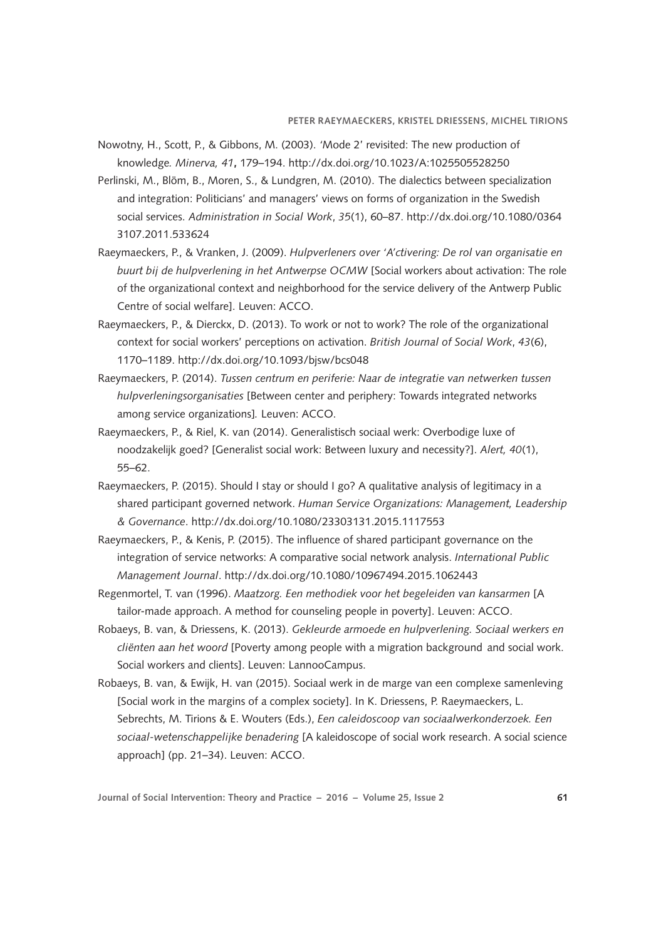- Nowotny, H., Scott, P., & Gibbons, M. (2003). *'*Mode 2' revisited: The new production of knowledge*. Minerva, 41***,** 179–194. <http://dx.doi.org/10.1023/A:1025505528250>
- Perlinski, M., Blöm, B., Moren, S., & Lundgren, M. (2010). The dialectics between specialization and integration: Politicians' and managers' views on forms of organization in the Swedish social services. *Administration in Social Work*, *35*(1), 60–87. [http://dx.doi.org/10.1080/0364](http://dx.doi.org/10.1080/03643107.2011.533624) [3107.2011.533624](http://dx.doi.org/10.1080/03643107.2011.533624)
- Raeymaeckers, P., & Vranken, J. (2009). *Hulpverleners over 'A'ctivering: De rol van organisatie en buurt bij de hulpverlening in het Antwerpse OCMW* [Social workers about activation: The role of the organizational context and neighborhood for the service delivery of the Antwerp Public Centre of social welfare]. Leuven: ACCO.
- Raeymaeckers, P., & Dierckx, D. (2013). To work or not to work? The role of the organizational context for social workers' perceptions on activation. *British Journal of Social Work*, *43*(6), 1170–1189. <http://dx.doi.org/10.1093/bjsw/bcs048>
- Raeymaeckers, P. (2014). *Tussen centrum en periferie: Naar de integratie van netwerken tussen hulpverleningsorganisaties* [Between center and periphery: Towards integrated networks among service organizations]*.* Leuven: ACCO.
- Raeymaeckers, P., & Riel, K. van (2014). Generalistisch sociaal werk: Overbodige luxe of noodzakelijk goed? [Generalist social work: Between luxury and necessity?]. *Alert, 40*(1), 55–62.
- Raeymaeckers, P. (2015). Should I stay or should I go? A qualitative analysis of legitimacy in a shared participant governed network. *Human Service Organizations: Management, Leadership & Governance*. <http://dx.doi.org/10.1080/23303131.2015.1117553>
- Raeymaeckers, P., & Kenis, P. (2015). The influence of shared participant governance on the integration of service networks: A comparative social network analysis. *International Public Management Journal*. <http://dx.doi.org/10.1080/10967494.2015.1062443>
- Regenmortel, T. van (1996). *Maatzorg. Een methodiek voor het begeleiden van kansarmen* [A tailor-made approach. A method for counseling people in poverty]. Leuven: Acco.
- Robaeys, B. van, & Driessens, K. (2013). *Gekleurde armoede en hulpverlening. Sociaal werkers en cliënten aan het woord* [Poverty among people with a migration background and social work. Social workers and clients]. Leuven: LannooCampus.
- Robaeys, B. van, & Ewijk, H. van (2015). Sociaal werk in de marge van een complexe samenleving [Social work in the margins of a complex society]. In K. Driessens, P. Raeymaeckers, L. Sebrechts, M. Tirions & E. Wouters (Eds.), *Een caleidoscoop van sociaalwerkonderzoek. Een sociaal-wetenschappelijke benadering* [A kaleidoscope of social work research. A social science approach] (pp. 21–34). Leuven: ACCO.

**Journal of Social Intervention: Theory and Practice – 2016 – Volume 25, Issue 2 61**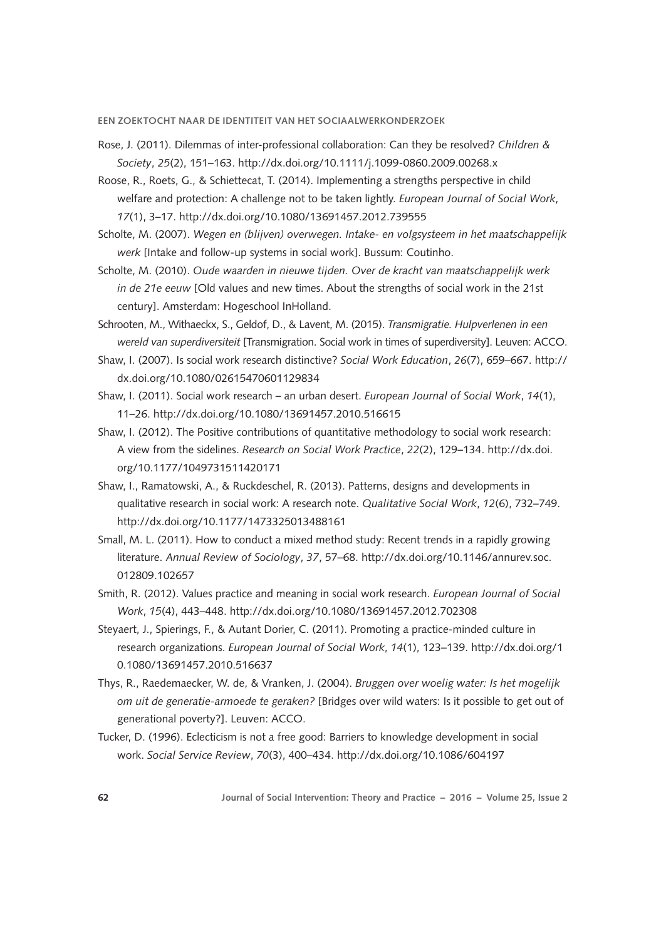- Rose, J. (2011). Dilemmas of inter-professional collaboration: Can they be resolved? *Children & Society*, *25*(2), 151–163.<http://dx.doi.org/10.1111/j.1099-0860.2009.00268.x>
- Roose, R., Roets, G., & Schiettecat, T. (2014). Implementing a strengths perspective in child welfare and protection: A challenge not to be taken lightly. *European Journal of Social Work*, *17*(1), 3–17. <http://dx.doi.org/10.1080/13691457.2012.739555>
- Scholte, M. (2007). *Wegen en (blijven) overwegen. Intake- en volgsysteem in het maatschappelijk werk* [Intake and follow-up systems in social work]. Bussum: Coutinho.
- Scholte, M. (2010). *Oude waarden in nieuwe tijden. Over de kracht van maatschappelijk werk in de 21e eeuw* [Old values and new times. About the strengths of social work in the 21st century]. Amsterdam: Hogeschool InHolland.
- Schrooten, M., Withaeckx, S., Geldof, D., & Lavent, M. (2015). *Transmigratie. Hulpverlenen in een wereld van superdiversiteit* [Transmigration. Social work in times of superdiversity]. Leuven: Acco.
- Shaw, I. (2007). Is social work research distinctive? *Social Work Education*, *26*(7), 659–667. [http://](http://dx.doi.org/10.1080/02615470601129834) [dx.doi.org/10.1080/02615470601129834](http://dx.doi.org/10.1080/02615470601129834)
- Shaw, I. (2011). Social work research an urban desert. *European Journal of Social Work*, *14*(1), 11–26.<http://dx.doi.org/10.1080/13691457.2010.516615>
- Shaw, I. (2012). The Positive contributions of quantitative methodology to social work research: A view from the sidelines. *Research on Social Work Practice*, *22*(2), 129–134. [http://dx.doi.](http://dx.doi.org/10.1177/1049731511420171) [org/10.1177/1049731511420171](http://dx.doi.org/10.1177/1049731511420171)
- Shaw, I., Ramatowski, A., & Ruckdeschel, R. (2013). Patterns, designs and developments in qualitative research in social work: A research note. *Qualitative Social Work*, *12*(6), 732–749. <http://dx.doi.org/10.1177/1473325013488161>
- Small, M. L. (2011). How to conduct a mixed method study: Recent trends in a rapidly growing literature. *Annual Review of Sociology*, *37*, 57–68. [http://dx.doi.org/10.1146/annurev.soc.](http://dx.doi.org/10.1146/annurev.soc.012809.102657) [012809.102657](http://dx.doi.org/10.1146/annurev.soc.012809.102657)
- Smith, R. (2012). Values practice and meaning in social work research. *European Journal of Social Work*, *15*(4), 443–448.<http://dx.doi.org/10.1080/13691457.2012.702308>
- Steyaert, J., Spierings, F., & Autant Dorier, C. (2011). Promoting a practice-minded culture in research organizations. *European Journal of Social Work*, *14*(1), 123–139. [http://dx.doi.org/1](http://dx.doi.org/10.1080/13691457.2010.516637) [0.1080/13691457.2010.516637](http://dx.doi.org/10.1080/13691457.2010.516637)
- Thys, R., Raedemaecker, W. de, & Vranken, J. (2004). *Bruggen over woelig water: Is het mogelijk om uit de generatie-armoede te geraken?* [Bridges over wild waters: Is it possible to get out of generational poverty?]. Leuven: Acco.
- Tucker, D. (1996). Eclecticism is not a free good: Barriers to knowledge development in social work. *Social Service Review*, *70*(3), 400–434.<http://dx.doi.org/10.1086/604197>